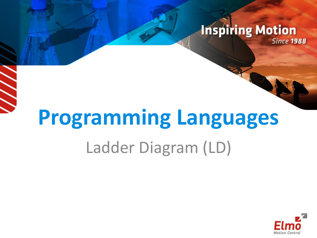#### **Inspiring Motion Since 1988**

# **Programming Languages** Ladder Diagram (LD)

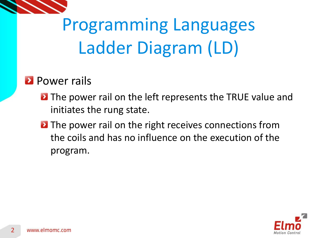

#### **Power rails**

- **D** The power rail on the left represents the TRUE value and initiates the rung state.
- **D** The power rail on the right receives connections from the coils and has no influence on the execution of the program.

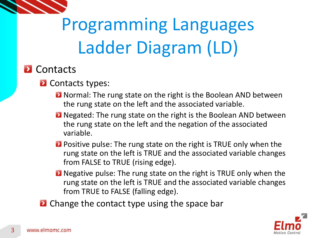

#### **D** Contacts

#### **2** Contacts types:

- **D** Normal: The rung state on the right is the Boolean AND between the rung state on the left and the associated variable.
- **D** Negated: The rung state on the right is the Boolean AND between the rung state on the left and the negation of the associated variable.
- **Positive pulse: The rung state on the right is TRUE only when the** rung state on the left is TRUE and the associated variable changes from FALSE to TRUE (rising edge).
- **D** Negative pulse: The rung state on the right is TRUE only when the rung state on the left is TRUE and the associated variable changes from TRUE to FALSE (falling edge).
- **E** Change the contact type using the space bar

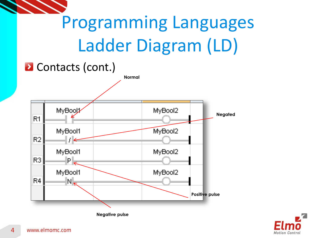

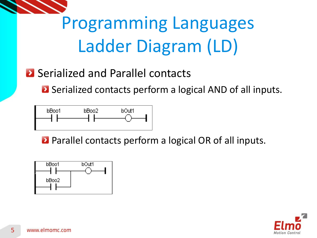

### **2** Serialized and Parallel contacts

**E** Serialized contacts perform a logical AND of all inputs.



**Parallel contacts perform a logical OR of all inputs.** 



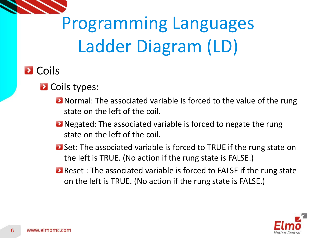

### **D** Coils

#### **2** Coils types:

- **D** Normal: The associated variable is forced to the value of the rung state on the left of the coil.
- **D** Negated: The associated variable is forced to negate the rung state on the left of the coil.
- **2** Set: The associated variable is forced to TRUE if the rung state on the left is TRUE. (No action if the rung state is FALSE.)
- **E** Reset : The associated variable is forced to FALSE if the rung state on the left is TRUE. (No action if the rung state is FALSE.)

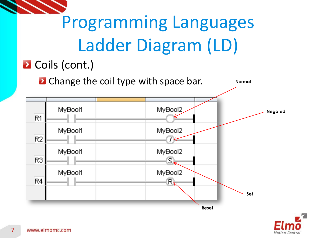

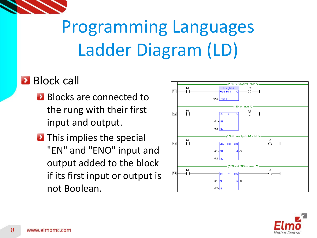

#### **Block call**

- **Blocks are connected to** the rung with their first input and output.
- **D** This implies the special "EN" and "ENO" input and output added to the block if its first input or output is not Boolean.



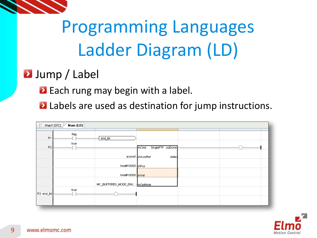

### **2** Jump / Label

- **Each rung may begin with a label.**
- **Labels are used as destination for jump instructions.**

| Main (LD)<br>Main1 (SFC) |              |                                   |                                                          |  |  |
|--------------------------|--------------|-----------------------------------|----------------------------------------------------------|--|--|
| R <sub>1</sub>           | flag<br>true | end_lbl                           |                                                          |  |  |
| R <sub>2</sub>           |              |                                   | SinglePTP outDone<br>inCmd<br>axisref-inAxisRef<br>state |  |  |
|                          |              | Ireal#10000 inPos                 |                                                          |  |  |
|                          |              | lreal#10000 <mark>- in∀ell</mark> |                                                          |  |  |
|                          | true         | MC_BUFFERED_MODE_ENU inOpMode     |                                                          |  |  |
| R3: end_lbl              |              |                                   |                                                          |  |  |